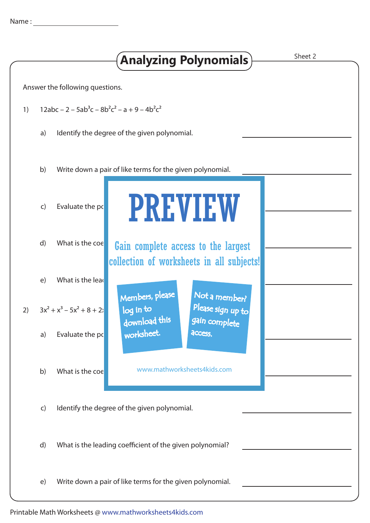